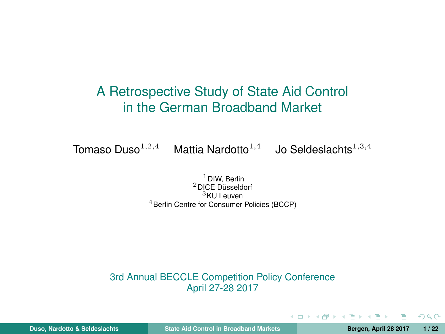## <span id="page-0-0"></span>A Retrospective Study of State Aid Control in the German Broadband Market

Tomaso Duso $^{1,2,4}$  Mattia Nardotto $^{1,4}$  Jo Seldeslachts $^{1,3,4}$ 

DIW, Berlin DICE Düsseldorf KII Leuven Berlin Centre for Consumer Policies (BCCP)

3rd Annual BECCLE Competition Policy Conference April 27-28 2017

**Duso, Nardotto & Seldeslachts [State Aid Control in Broadband Markets](#page-21-0) Bergen, April 28 2017 1 / 22**

 $QQ$ 

A > + = > + =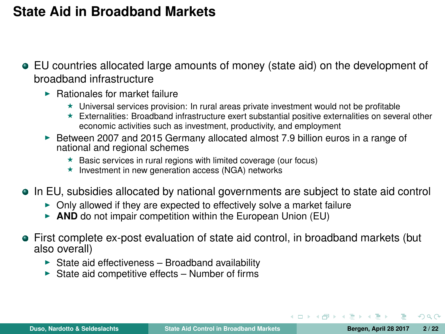## **State Aid in Broadband Markets**

- EU countries allocated large amounts of money (state aid) on the development of broadband infrastructure
	- $\blacktriangleright$  Rationales for market failure
		- $\star$  Universal services provision: In rural areas private investment would not be profitable
		- $\star$  Externalities: Broadband infrastructure exert substantial positive externalities on several other economic activities such as investment, productivity, and employment
	- $\blacktriangleright$  Between 2007 and 2015 Germany allocated almost 7.9 billion euros in a range of national and regional schemes
		- $\star$  Basic services in rural regions with limited coverage (our focus)
		- $\star$  Investment in new generation access (NGA) networks
- In EU, subsidies allocated by national governments are subject to state aid control
	- $\triangleright$  Only allowed if they are expected to effectively solve a market failure
	- ▶ AND do not impair competition within the European Union (EU)
- First complete ex-post evaluation of state aid control, in broadband markets (but also overall)
	- $\triangleright$  State aid effectiveness Broadband availability
	- $\triangleright$  State aid competitive effects Number of firms

 $\Omega$ 

イ押 トイヨ トイヨト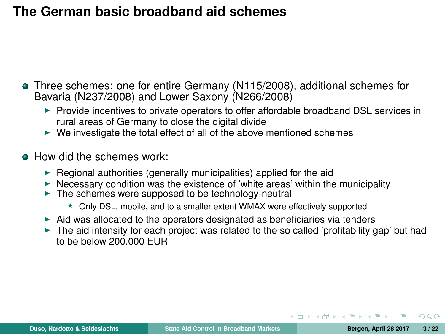## **The German basic broadband aid schemes**

- Three schemes: one for entire Germany (N115/2008), additional schemes for Bavaria (N237/2008) and Lower Saxony (N266/2008)
	- $\triangleright$  Provide incentives to private operators to offer affordable broadband DSL services in rural areas of Germany to close the digital divide
	- $\blacktriangleright$  We investigate the total effect of all of the above mentioned schemes
- **A.** How did the schemes work:
	- $\blacktriangleright$  Regional authorities (generally municipalities) applied for the aid
	- $\blacktriangleright$  Necessary condition was the existence of 'white areas' within the municipality
	- $\blacktriangleright$  The schemes were supposed to be technology-neutral
		- $\star$  Only DSL, mobile, and to a smaller extent WMAX were effectively supported
	- $\triangleright$  Aid was allocated to the operators designated as beneficiaries via tenders
	- $\triangleright$  The aid intensity for each project was related to the so called 'profitability gap' but had to be below 200.000 EUR

 $\Omega$ 

桐 トラ モ トラ モ ト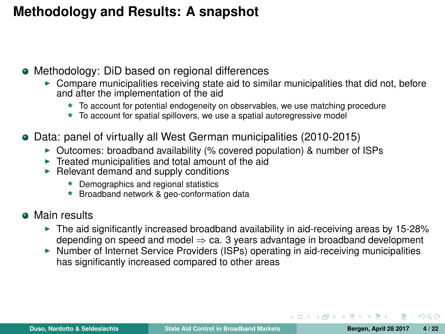## **Methodology and Results: A snapshot**

- Methodology: DiD based on regional differences
	- $\triangleright$  Compare municipalities receiving state aid to similar municipalities that did not, before and after the implementation of the aid
		- $\star$  To account for potential endogeneity on observables, we use matching procedure
		- $\star$  To account for spatial spillovers, we use a spatial autoregressive model
- Data: panel of virtually all West German municipalities (2010-2015)
	- $\triangleright$  Outcomes: broadband availability (% covered population) & number of ISPs
	- $\triangleright$  Treated municipalities and total amount of the aid
	- $\blacktriangleright$  Relevant demand and supply conditions
		- $\star$  Demographics and regional statistics
		- $\star$  Broadband network & geo-conformation data
- **Main results** 
	- $\triangleright$  The aid significantly increased broadband availability in aid-receiving areas by 15-28% depending on speed and model  $\Rightarrow$  ca. 3 years advantage in broadband development
	- $\triangleright$  Number of Internet Service Providers (ISPs) operating in aid-receiving municipalities has significantly increased compared to other areas

 $\Omega$ 

 $\left\{ \left\vert \left\{ \mathbf{0}\right\vert \mathbf{1}\right\} \right\} \left\{ \left\vert \left\{ \mathbf{0}\right\} \right\} \right\}$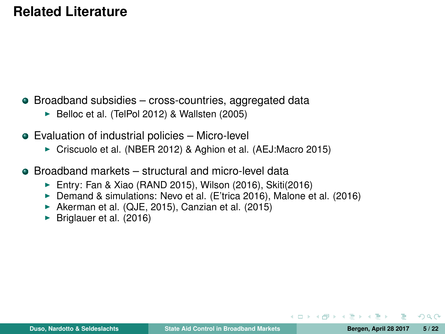## **Related Literature**

- Broadband subsidies cross-countries, aggregated data
	- $\blacktriangleright$  Belloc et al. (TelPol 2012) & Wallsten (2005)
- Evaluation of industrial policies Micro-level
	- ► Criscuolo et al. (NBER 2012) & Aghion et al. (AEJ:Macro 2015)
- **Broadband markets structural and micro-level data** 
	- Entry: Fan & Xiao (RAND 2015), Wilson (2016), Skiti(2016)
	- ▶ Demand & simulations: Nevo et al. (E'trica 2016), Malone et al. (2016)
	- Akerman et al. (QJE, 2015), Canzian et al. (2015)
	- $\blacktriangleright$  Briglauer et al. (2016)

 $QQ$ 

**NATION**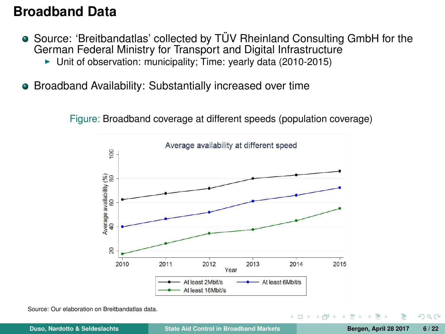### **Broadband Data**

- Source: 'Breitbandatlas' collected by TÜV Rheinland Consulting GmbH for the German Federal Ministry for Transport and Digital Infrastructure
	- $\blacktriangleright$  Unit of observation: municipality; Time: yearly data (2010-2015)
- **Broadband Availability: Substantially increased over time**

Figure: Broadband coverage at different speeds (population coverage)



Source: Our elaboration on Breitbandatlas data.

 $\Omega$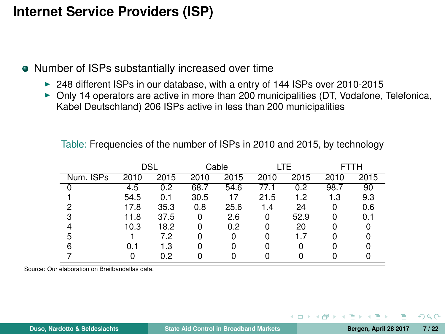## **Internet Service Providers (ISP)**

- Number of ISPs substantially increased over time
	- $\triangleright$  248 different ISPs in our database, with a entry of 144 ISPs over 2010-2015
	- $\triangleright$  Only 14 operators are active in more than 200 municipalities (DT, Vodafone, Telefonica, Kabel Deutschland) 206 ISPs active in less than 200 municipalities

|           | DSL  |      |      | Cable |      | LTE  | FTTH |      |  |
|-----------|------|------|------|-------|------|------|------|------|--|
| Num. ISPs | 2010 | 2015 | 2010 | 2015  | 2010 | 2015 | 2010 | 2015 |  |
|           | 4.5  | 0.2  | 68.7 | 54.6  | 77.1 | 0.2  | 98.7 | 90   |  |
|           | 54.5 | 0.1  | 30.5 | 17    | 21.5 | 1.2  | 1.3  | 9.3  |  |
| 2         | 17.8 | 35.3 | 0.8  | 25.6  | 1.4  | 24   | 0    | 0.6  |  |
| 3         | 11.8 | 37.5 | 0    | 2.6   | 0    | 52.9 |      | 0.1  |  |
|           | 10.3 | 18.2 | 0    | 0.2   | o    | 20   |      |      |  |
| 5         |      | 7.2  | 0    | 0     |      | 1.7  |      |      |  |
|           | 0.1  | 1.3  | ŋ    | ŋ     |      |      |      |      |  |
|           |      | 0.2  |      |       |      |      |      |      |  |

Table: Frequencies of the number of ISPs in 2010 and 2015, by technology

Source: Our elaboration on Breitbandatlas data.

 $\Omega$ 

桐 レン モ レン モ ト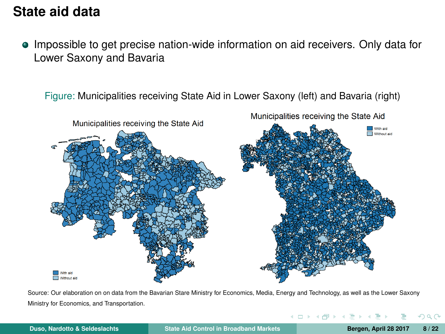## **State aid data**

Impossible to get precise nation-wide information on aid receivers. Only data for Lower Saxony and Bavaria

Figure: Municipalities receiving State Aid in Lower Saxony (left) and Bavaria (right)



Source: Our elaboration on on data from the Bavarian Stare Ministry for Economics, Media, Energy and Technology, as well as the Lower Saxony Ministry for Economics, and Transportation.

 $\Omega$ 

イロト イ押 トイヨ トイヨ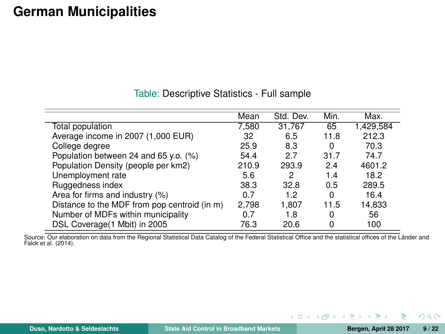## **German Municipalities**

|                                              | Mean  | Std. Dev. | Min.     | Max.      |
|----------------------------------------------|-------|-----------|----------|-----------|
| Total population                             | 7,580 | 31,767    | 65       | 1,429,584 |
| Average income in 2007 (1,000 EUR)           | 32    | 6.5       | 11.8     | 212.3     |
| College degree                               | 25.9  | 8.3       | 0        | 70.3      |
| Population between 24 and 65 y.o. (%)        | 54.4  | 2.7       | 31.7     | 74.7      |
| Population Density (people per km2)          | 210.9 | 293.9     | 2.4      | 4601.2    |
| Unemployment rate                            | 5.6   | 2         | 1.4      | 18.2      |
| Ruggedness index                             | 38.3  | 32.8      | 0.5      | 289.5     |
| Area for firms and industry (%)              | 0 7   | 1.2       | $\Omega$ | 16.4      |
| Distance to the MDF from pop centroid (in m) | 2,798 | 1.807     | 11.5     | 14,833    |
| Number of MDFs within municipality           | 0 7   | 1.8       | 0        | 56        |
| DSL Coverage (1 Mbit) in 2005                | 76.3  | 20.6      | 0        | 100       |

Source: Our elaboration on data from the Regional Statistical Data Catalog of the Federal Statistical Office and the statistical offices of the Länder and Falck et al. (2014).

э

 $QQ$ 

 $($  ロ )  $($  何 )  $($  ヨ )  $($  コ }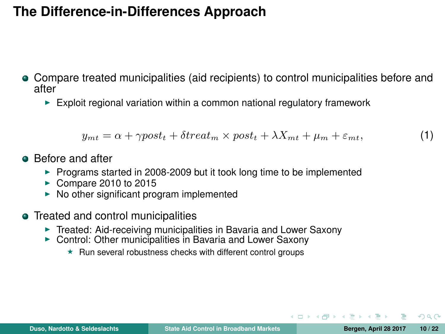## **The Difference-in-Differences Approach**

- Compare treated municipalities (aid recipients) to control municipalities before and after
	- $\blacktriangleright$  Exploit regional variation within a common national regulatory framework

$$
y_{mt} = \alpha + \gamma post_t + \delta treat_m \times post_t + \lambda X_{mt} + \mu_m + \varepsilon_{mt}, \tag{1}
$$

- **A** Before and after
	- $\triangleright$  Programs started in 2008-2009 but it took long time to be implemented
	- $\triangleright$  Compare 2010 to 2015
	- $\triangleright$  No other significant program implemented
- Treated and control municipalities
	- $\triangleright$  Treated: Aid-receiving municipalities in Bavaria and Lower Saxony
	- $\triangleright$  Control: Other municipalities in Bavaria and Lower Saxony
		- $\star$  Run several robustness checks with different control groups

 $\Omega$ 

A . . 3 . . 3 .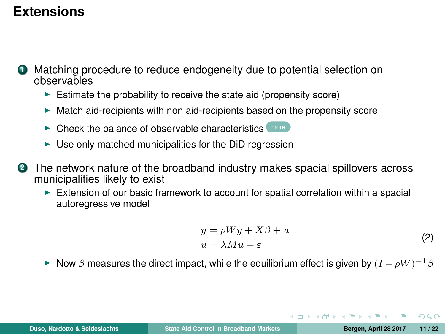## **Extensions**

- <span id="page-10-0"></span>**<sup>1</sup>** Matching procedure to reduce endogeneity due to potential selection on observables
	- $\triangleright$  Estimate the probability to receive the state aid (propensity score)
	- $\blacktriangleright$  Match aid-recipients with non aid-recipients based on the propensity score
	- $\triangleright$  Check the balance of observable characteristics  $\binom{more}{\text{mod}}$  $\binom{more}{\text{mod}}$  $\binom{more}{\text{mod}}$
	- $\triangleright$  Use only matched municipalities for the DiD regression
- **<sup>2</sup>** The network nature of the broadband industry makes spacial spillovers across municipalities likely to exist
	- $\triangleright$  Extension of our basic framework to account for spatial correlation within a spacial autoregressive model

$$
y = \rho Wy + X\beta + u
$$
  
\n
$$
u = \lambda Mu + \varepsilon
$$
\n(2)

イロ トラ 桐 トラ モ トラ モ ト

► Now  $\beta$  measures the direct impact, while the equilibrium effect is given by  $(I - \rho W)^{-1} \beta$ 

 $QQ$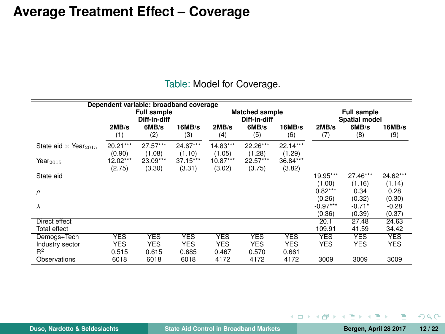### **Average Treatment Effect – Coverage**

|                                         |                          | Dependent variable: broadband coverage |                          |                          |                                       |                          |                                            |                          |                          |  |
|-----------------------------------------|--------------------------|----------------------------------------|--------------------------|--------------------------|---------------------------------------|--------------------------|--------------------------------------------|--------------------------|--------------------------|--|
|                                         |                          | <b>Full sample</b><br>Diff-in-diff     |                          |                          | <b>Matched sample</b><br>Diff-in-diff |                          | <b>Full sample</b><br><b>Spatial model</b> |                          |                          |  |
|                                         | 2MB/s<br>(1)             | 6MB/s<br>(2)                           | 16MB/s<br>(3)            | 2MB/s<br>(4)             | 6MB/s<br>(5)                          | 16MB/s<br>(6)            | 2MB/s<br>(7)                               | 6MB/s<br>(8)             | 16MB/s<br>(9)            |  |
| State aid $\times$ Year <sub>2015</sub> | 20.21***<br>(0.90)       | 27.57***<br>(1.08)                     | $24.67***$<br>(1.10)     | 14.83***<br>(1.05)       | 22.26***<br>(1.28)                    | $22.14***$<br>(1.29)     |                                            |                          |                          |  |
| Year $_{2015}$                          | 12.02***<br>(2.75)       | 23.09***<br>(3.30)                     | 37.15***<br>(3.31)       | 10.87***<br>(3.02)       | 22.57***<br>(3.75)                    | 36.84***<br>(3.82)       |                                            |                          |                          |  |
| State aid                               |                          |                                        |                          |                          |                                       |                          | 19.95***<br>(1.00)                         | 27.46***<br>(1.16)       | 24.62***<br>(1.14)       |  |
| $\rho$                                  |                          |                                        |                          |                          |                                       |                          | $0.82***$<br>(0.26)                        | 0.34<br>(0.32)           | 0.28<br>(0.30)           |  |
| λ                                       |                          |                                        |                          |                          |                                       |                          | $-0.97***$<br>(0.36)                       | $-0.71*$<br>(0.39)       | $-0.28$<br>(0.37)        |  |
| Direct effect                           |                          |                                        |                          |                          |                                       |                          | 20.1                                       | 27.48                    | 24.63                    |  |
| Total effect                            |                          |                                        |                          |                          |                                       |                          | 109.91                                     | 41.59                    | 34.42                    |  |
| Demogs+Tech<br>Industry sector          | <b>YES</b><br><b>YES</b> | <b>YES</b><br><b>YES</b>               | <b>YES</b><br><b>YES</b> | <b>YES</b><br><b>YES</b> | <b>YES</b><br><b>YES</b>              | <b>YES</b><br><b>YES</b> | <b>YES</b><br><b>YES</b>                   | <b>YES</b><br><b>YES</b> | <b>YES</b><br><b>YES</b> |  |
| $R^2$<br>Observations                   | 0.515<br>6018            | 0.615<br>6018                          | 0.685<br>6018            | 0.467<br>4172            | 0.570<br>4172                         | 0.661<br>4172            | 3009                                       | 3009                     | 3009                     |  |

Table: Model for Coverage.

Þ

 $298$ 

 $\left\{ \begin{array}{ccc} 1 & 0 & 0 \\ 0 & 1 & 0 \end{array} \right\}$  ,  $\left\{ \begin{array}{ccc} \frac{1}{2} & 0 & 0 \\ 0 & 0 & 0 \end{array} \right\}$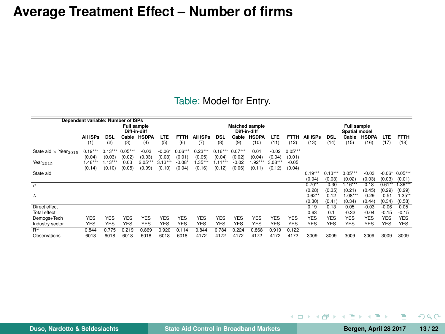### **Average Treatment Effect – Number of firms**

#### Table: Model for Entry.

|                                         | Dependent variable: Number of ISPs |                     |                          |                     |                          |                                       |                     |                          |                     |                              |                     |                          |                               |                          |                                |                             |                             |                               |
|-----------------------------------------|------------------------------------|---------------------|--------------------------|---------------------|--------------------------|---------------------------------------|---------------------|--------------------------|---------------------|------------------------------|---------------------|--------------------------|-------------------------------|--------------------------|--------------------------------|-----------------------------|-----------------------------|-------------------------------|
|                                         | <b>Full sample</b><br>Diff-in-diff |                     |                          |                     |                          | <b>Matched sample</b><br>Diff-in-diff |                     |                          |                     | Full sample<br>Spatial model |                     |                          |                               |                          |                                |                             |                             |                               |
|                                         | All ISPs<br>(1)                    | <b>DSL</b><br>(2)   | Cable<br>(3)             | <b>HSDPA</b><br>(4) | LTE<br>(5)               | <b>FTTH</b><br>(6)                    | All ISPs<br>(7)     | <b>DSL</b><br>(8)        | Cable<br>(9)        | <b>HSDPA</b><br>(10)         | LTE<br>(11)         | <b>FTTH</b><br>(12)      | All ISPs<br>(13)              | <b>DSL</b><br>(14)       | Cable<br>(15)                  | <b>HSDPA</b><br>(16)        | LTE<br>(17)                 | <b>FTTH</b><br>(18)           |
| State aid $\times$ Year <sub>2015</sub> | $0.19***$<br>(0.04)                | $0.13***$<br>(0.03) | $0.05***$<br>(0.02)      | $-0.03$<br>(0.03)   | $-0.06"$<br>(0.03)       | $0.06***$<br>(0.01)                   | $0.23***$<br>(0.05) | $0.16***$<br>(0.04)      | $0.07***$<br>(0.02) | 0.01<br>(0.04)               | $-0.02$<br>(0.04)   | $0.05***$<br>(0.01)      |                               |                          |                                |                             |                             |                               |
| Year $_{2015}$                          | $1.48***$<br>(0.14)                | $1.13***$<br>(0.10) | 0.03<br>(0.05)           | $2.05***$<br>(0.09) | $3.13***$<br>(0.10)      | $-0.08"$<br>(0.04)                    | $1.35***$<br>(0.16) | $1.11***$<br>(0.12)      | $-0.02$<br>(0.06)   | $1.92***$<br>(0.11)          | $3.08***$<br>(0.12) | $-0.05$<br>(0.04)        |                               |                          |                                |                             |                             |                               |
| State aid                               |                                    |                     |                          |                     |                          |                                       |                     |                          |                     |                              |                     |                          | $0.19***$<br>(0.04)           | $0.13***$<br>(0.03)      | $0.05***$<br>(0.02)            | $-0.03$<br>(0.03)           | $-0.06*$<br>(0.03)          | $0.05***$<br>(0.01)           |
| $\rho$                                  |                                    |                     |                          |                     |                          |                                       |                     |                          |                     |                              |                     |                          | 0.70"                         | $-0.30$                  | 1.16                           | 0.18                        | $0.61**$                    | $1.36***$                     |
| $\lambda$                               |                                    |                     |                          |                     |                          |                                       |                     |                          |                     |                              |                     |                          | (0.28)<br>$-0.62**$<br>(0.30) | (0.35)<br>0.12<br>(0.41) | (0.21)<br>$-1.08***$<br>(0.34) | (0.45)<br>$-0.29$<br>(0.44) | (0.29)<br>$-0.51$<br>(0.34) | (0.29)<br>$-1.35**$<br>(0.58) |
| Direct effect                           |                                    |                     |                          |                     |                          |                                       |                     |                          |                     |                              |                     |                          | 0.19                          | 0.13                     | 0.05                           | $-0.03$                     | $-0.06$                     | 0.05                          |
| <b>Total effect</b>                     |                                    |                     |                          |                     |                          |                                       |                     |                          |                     |                              |                     |                          | 0.63                          | 0.1                      | $-0.32$                        | $-0.04$                     | $-0.15$                     | $-0.15$                       |
| Demogs+Tech<br>Industry sector          | <b>YES</b><br><b>YES</b>           | YES<br><b>YES</b>   | <b>YES</b><br><b>YES</b> | YES<br><b>YES</b>   | <b>YES</b><br><b>YES</b> | <b>YES</b><br><b>YES</b>              | YES<br><b>YES</b>   | <b>YES</b><br><b>YES</b> | <b>YES</b><br>YES   | <b>YES</b><br><b>YES</b>     | YES<br>YES          | <b>YES</b><br><b>YES</b> | <b>YES</b><br><b>YES</b>      | <b>YES</b><br><b>YES</b> | <b>YES</b><br><b>YES</b>       | <b>YES</b><br><b>YES</b>    | YES<br><b>YES</b>           | <b>YES</b><br><b>YES</b>      |
| $\overline{\mathbb{R}^2}$               | 0.844                              | 0.775               | 0.219                    | 0.869               | 0.920                    | 0.114                                 | 0.844               | 0.784                    | 0.224               | 0.868                        | 0.919               | 0.122                    |                               |                          |                                |                             |                             |                               |
| Observations                            | 6018                               | 6018                | 6018                     | 6018                | 6018                     | 6018                                  | 4172                | 4172                     | 4172                | 4172                         | 4172                | 4172                     | 3009                          | 3009                     | 3009                           | 3009                        | 3009                        | 3009                          |

Þ

イロト イ母 トイヨ トイヨー

 $298$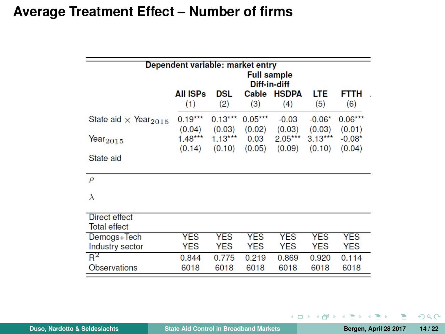### **Average Treatment Effect – Number of firms**

|                                         | Dependent variable: market entry<br><b>Full sample</b><br>Diff-in-diff |            |            |              |            |            |  |  |  |  |  |  |  |  |
|-----------------------------------------|------------------------------------------------------------------------|------------|------------|--------------|------------|------------|--|--|--|--|--|--|--|--|
|                                         | <b>All ISPs</b>                                                        | DSL        | Cable      | <b>HSDPA</b> | LTE        | FTTH       |  |  |  |  |  |  |  |  |
|                                         | (1)                                                                    | (2)        | (3)        | (4)          | (5)        | (6)        |  |  |  |  |  |  |  |  |
| State aid $\times$ Year <sub>2015</sub> | $0.19***$                                                              | $0.13***$  | $0.05***$  | $-0.03$      | $-0.06*$   | $0.06***$  |  |  |  |  |  |  |  |  |
|                                         | (0.04)                                                                 | (0.03)     | (0.02)     | (0.03)       | (0.03)     | (0.01)     |  |  |  |  |  |  |  |  |
| Year $_{2015}$                          | $1.48***$                                                              | $1.13***$  | 0.03       | $2.05***$    | $3.13***$  | $-0.08*$   |  |  |  |  |  |  |  |  |
|                                         | (0.14)                                                                 | (0.10)     | (0.05)     | (0.09)       | (0.10)     | (0.04)     |  |  |  |  |  |  |  |  |
| State aid                               |                                                                        |            |            |              |            |            |  |  |  |  |  |  |  |  |
| $\rho$                                  |                                                                        |            |            |              |            |            |  |  |  |  |  |  |  |  |
| $\lambda$                               |                                                                        |            |            |              |            |            |  |  |  |  |  |  |  |  |
| Direct effect<br><b>Total effect</b>    |                                                                        |            |            |              |            |            |  |  |  |  |  |  |  |  |
| Demogs+Tech                             | <b>YES</b>                                                             | <b>YES</b> | <b>YES</b> | <b>YES</b>   | YES        | <b>YES</b> |  |  |  |  |  |  |  |  |
| Industry sector                         | <b>YES</b>                                                             | <b>YES</b> | <b>YES</b> | <b>YES</b>   | <b>YES</b> | <b>YES</b> |  |  |  |  |  |  |  |  |
| $R^2$                                   | 0.844                                                                  | 0.775      | 0.219      | 0.869        | 0.920      | 0.114      |  |  |  |  |  |  |  |  |
| <b>Observations</b>                     | 6018                                                                   | 6018       | 6018       | 6018         | 6018       | 6018       |  |  |  |  |  |  |  |  |

B

 $298$ 

 $\left\{ \begin{array}{ccc} 1 & 0 & 0 \\ 0 & 1 & 0 \end{array} \right\}$  ,  $\left\{ \begin{array}{ccc} \frac{1}{2} & 0 & 0 \\ 0 & 0 & 0 \end{array} \right\}$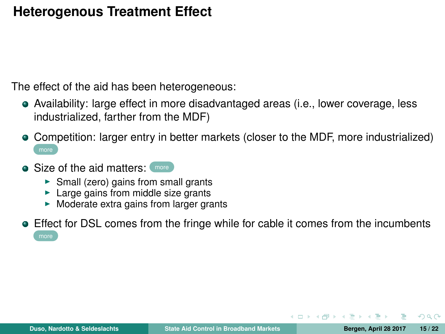## **Heterogenous Treatment Effect**

<span id="page-14-0"></span>The effect of the aid has been heterogeneous:

- Availability: large effect in more disadvantaged areas (i.e., lower coverage, less industrialized, farther from the MDF)
- Competition: larger entry in better markets (closer to the MDF, more industrialized)
- Size of the aid matters: [more](#page-20-0)
	- $\triangleright$  Small (zero) gains from small grants
	- $\blacktriangleright$  Large gains from middle size grants
	- $\triangleright$  Moderate extra gains from larger grants
- Effect for DSL comes from the fringe while for cable it comes from the incumbents

 $\Omega$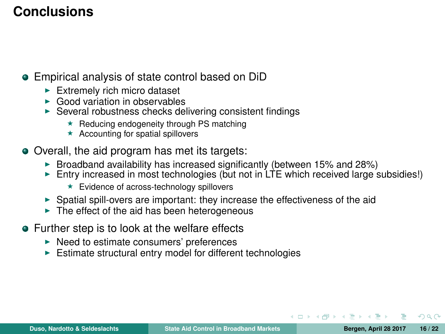# **Conclusions**

- Empirical analysis of state control based on DiD
	- $\blacktriangleright$  Extremely rich micro dataset
	- $\blacktriangleright$  Good variation in observables
	- $\triangleright$  Several robustness checks delivering consistent findings
		- $\star$  Reducing endogeneity through PS matching
		- $\star$  Accounting for spatial spillovers
- Overall, the aid program has met its targets:
	- $\triangleright$  Broadband availability has increased significantly (between 15% and 28%)
	- Entry increased in most technologies (but not in  $LTE$  which received large subsidies!)
		- $\star$  Evidence of across-technology spillovers
	- $\triangleright$  Spatial spill-overs are important: they increase the effectiveness of the aid
	- $\blacktriangleright$  The effect of the aid has been heterogeneous
- Further step is to look at the welfare effects
	- $\blacktriangleright$  Need to estimate consumers' preferences
	- $\blacktriangleright$  Estimate structural entry model for different technologies

 $290$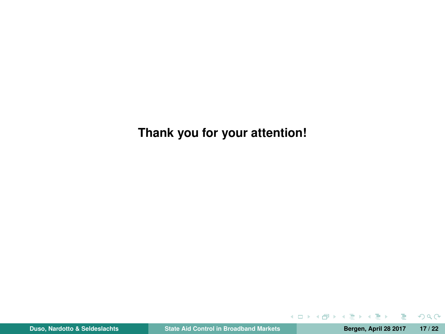**Thank you for your attention!**

э

 $298$ 

 $($  ロ )  $($  何 )  $($  ヨ )  $($  コ }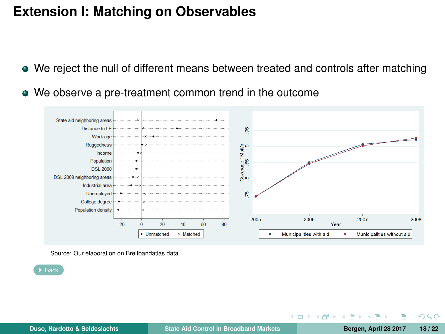## **Extension I: Matching on Observables**

- We reject the null of different means between treated and controls after matching
- <span id="page-17-0"></span>We observe a pre-treatment common trend in the outcome



Source: Our elaboration on Breitbandatlas data.

 $\triangleright$  [Back](#page-10-0)

 $200$ 

 $\equiv$   $\rightarrow$ 

 $\Box$ 

4 **EL F**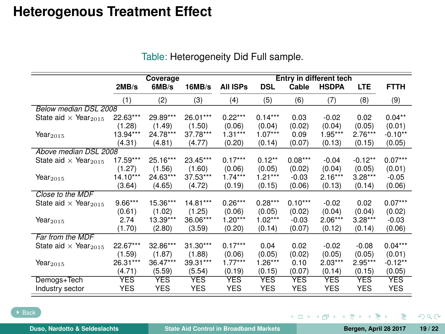## <span id="page-18-0"></span>**Heterogenous Treatment Effect**

|                                         |            | Coverage   |            |            |            |            | Entry in different tech |            |             |
|-----------------------------------------|------------|------------|------------|------------|------------|------------|-------------------------|------------|-------------|
|                                         | 2MB/s      | 6MB/s      | 16MB/s     | All ISPs   | <b>DSL</b> | Cable      | <b>HSDPA</b>            | <b>LTE</b> | <b>FTTH</b> |
|                                         | (1)        | (2)        | (3)        | (4)        | (5)        | (6)        | (7)                     | (8)        | (9)         |
| Below median DSL 2008                   |            |            |            |            |            |            |                         |            |             |
| State aid $\times$ Year <sub>2015</sub> | 22.63***   | 29.89***   | 26.01***   | $0.22***$  | $0.14***$  | 0.03       | $-0.02$                 | 0.02       | $0.04***$   |
|                                         | (1.28)     | (1.49)     | (1.50)     | (0.06)     | (0.04)     | (0.02)     | (0.04)                  | (0.05)     | (0.01)      |
| Year $_{2015}$                          | 13.94***   | 24.78***   | 37.78***   | $1.31***$  | $1.07***$  | 0.09       | $1.95***$               | $2.76***$  | $-0.10**$   |
|                                         | (4.31)     | (4.81)     | (4.77)     | (0.20)     | (0.14)     | (0.07)     | (0.13)                  | (0.15)     | (0.05)      |
| Above median DSL 2008                   |            |            |            |            |            |            |                         |            |             |
| State aid $\times$ Year <sub>2015</sub> | 17.59***   | 25.16***   | 23.45***   | $0.17***$  | $0.12**$   | $0.08***$  | $-0.04$                 | $-0.12**$  | $0.07***$   |
|                                         | (1.27)     | (1.56)     | (1.60)     | (0.06)     | (0.05)     | (0.02)     | (0.04)                  | (0.05)     | (0.01)      |
| Year $_{2015}$                          | $14.10***$ | 24.63***   | 37.53***   | $1.74***$  | $1.21***$  | $-0.03$    | $2.16***$               | $3.28***$  | $-0.05$     |
|                                         | (3.64)     | (4.65)     | (4.72)     | (0.19)     | (0.15)     | (0.06)     | (0.13)                  | (0.14)     | (0.06)      |
| Close to the MDF                        |            |            |            |            |            |            |                         |            |             |
| State aid $\times$ Year <sub>2015</sub> | $9.66***$  | 15.36***   | 14.81***   | $0.26***$  | $0.28***$  | $0.10***$  | $-0.02$                 | 0.02       | $0.07***$   |
|                                         | (0.61)     | (1.02)     | (1.25)     | (0.06)     | (0.05)     | (0.02)     | (0.04)                  | (0.04)     | (0.02)      |
| Year $_{2015}$                          | 2.74       | 13.39***   | 36.06***   | $1.20***$  | $1.02***$  | $-0.03$    | $2.06***$               | $3.28***$  | $-0.03$     |
|                                         | (1.70)     | (2.80)     | (3.59)     | (0.20)     | (0.14)     | (0.07)     | (0.12)                  | (0.14)     | (0.06)      |
| Far from the MDF                        |            |            |            |            |            |            |                         |            |             |
| State aid $\times$ Year <sub>2015</sub> | 22.67***   | 32.86***   | $31.30***$ | $0.17***$  | 0.04       | 0.02       | $-0.02$                 | $-0.08$    | $0.04***$   |
|                                         | (1.59)     | (1.87)     | (1.88)     | (0.06)     | (0.05)     | (0.02)     | (0.05)                  | (0.05)     | (0.01)      |
| Year $_{2015}$                          | 26.31***   | 36.47***   | 39.31***   | $1.77***$  | $1.26***$  | 0.10       | $2.03***$               | $2.95***$  | $-0.12**$   |
|                                         | (4.71)     | (5.59)     | (5.54)     | (0.19)     | (0.15)     | (0.07)     | (0.14)                  | (0.15)     | (0.05)      |
| Demogs+Tech                             | <b>YES</b> | <b>YES</b> | <b>YES</b> | <b>YES</b> | <b>YES</b> | <b>YES</b> | <b>YES</b>              | <b>YES</b> | <b>YES</b>  |
| Industry sector                         | <b>YES</b> | <b>YES</b> | <b>YES</b> | <b>YES</b> | <b>YES</b> | <b>YES</b> | <b>YES</b>              | <b>YES</b> | YES         |

#### Table: Heterogeneity Did Full sample.

 $\rightarrow$  [Back](#page-14-0)

э

 $298$ 

 $A \cap B \rightarrow A \cap B \rightarrow A \cap B \rightarrow A \cap B$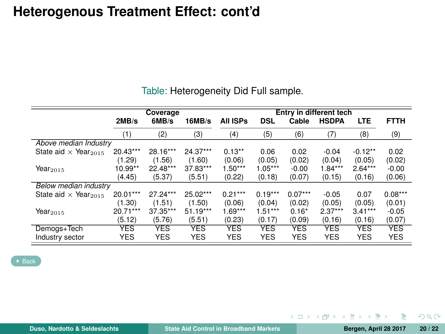### **Heterogenous Treatment Effect: cont'd**

|                                         |            | Coverage   |            |                 |            |            | Entry in different tech |            |             |
|-----------------------------------------|------------|------------|------------|-----------------|------------|------------|-------------------------|------------|-------------|
|                                         | 2MB/s      | 6MB/s      | 16MB/s     | <b>All ISPs</b> | <b>DSL</b> | Cable      | <b>HSDPA</b>            | <b>LTE</b> | <b>FTTH</b> |
|                                         | (1)        | (2)        | (3)        | (4)             | (5)        | (6)        | (7)                     | (8)        | (9)         |
| Above median Industry                   |            |            |            |                 |            |            |                         |            |             |
| State aid $\times$ Year <sub>2015</sub> | $20.43***$ | 28.16***   | 24.37***   | $0.13**$        | 0.06       | 0.02       | $-0.04$                 | $-0.12**$  | 0.02        |
|                                         | (1.29)     | (1.56)     | (1.60)     | (0.06)          | (0.05)     | (0.02)     | (0.04)                  | (0.05)     | (0.02)      |
| Year $_{2015}$                          | 10.99**    | 22.48***   | 37.83***   | $1.50***$       | $1.05***$  | $-0.00$    | $1.84***$               | $2.64***$  | $-0.00$     |
|                                         | (4.45)     | (5.37)     | (5.51)     | (0.22)          | (0.18)     | (0.07)     | (0.15)                  | (0.16)     | (0.06)      |
| Below median industry                   |            |            |            |                 |            |            |                         |            |             |
| State aid $\times$ Year <sub>2015</sub> | 20.01***   | 27.24***   | 25.02***   | $0.21***$       | $0.19***$  | $0.07***$  | $-0.05$                 | 0.07       | $0.08***$   |
|                                         | (1.30)     | (1.51)     | (1.50)     | (0.06)          | (0.04)     | (0.02)     | (0.05)                  | (0.05)     | (0.01)      |
| Year $_{2015}$                          | $20.71***$ | 37.35***   | $51.19***$ | $1.69***$       | $1.51***$  | $0.16*$    | $2.37***$               | $3.41***$  | $-0.05$     |
|                                         | (5.12)     | (5.76)     | (5.51)     | (0.23)          | (0.17)     | (0.09)     | (0.16)                  | (0.16)     | (0.07)      |
| Demogs+Tech                             | <b>YES</b> | <b>YES</b> | <b>YES</b> | <b>YES</b>      | <b>YES</b> | <b>YES</b> | YES                     | <b>YES</b> | <b>YES</b>  |
| Industry sector                         | YES        | <b>YES</b> | <b>YES</b> | <b>YES</b>      | <b>YES</b> | <b>YES</b> | <b>YES</b>              | <b>YES</b> | <b>YES</b>  |

Table: Heterogeneity Did Full sample.

Þ

 $298$ 

 $\left\{ \begin{array}{ccc} 1 & 0 & 0 \\ 0 & 1 & 0 \end{array} \right\}$  ,  $\left\{ \begin{array}{ccc} \frac{1}{2} & 0 & 0 \\ 0 & 0 & 0 \end{array} \right\}$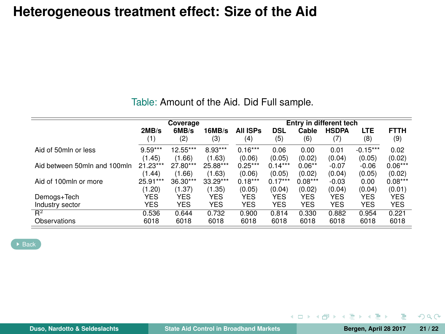### **Heterogeneous treatment effect: Size of the Aid**

| Table: Amount of the Aid. Did Full sample. |  |
|--------------------------------------------|--|
|--------------------------------------------|--|

<span id="page-20-0"></span>

|                              |            | Coverage   |            |            |            |            | Entry in different tech |            |             |
|------------------------------|------------|------------|------------|------------|------------|------------|-------------------------|------------|-------------|
|                              | 2MB/s      | 6MB/s      | 16MB/s     | All ISPs   | DSL        | Cable      | <b>HSDPA</b>            | LTE        | <b>FTTH</b> |
|                              | (1)        | (2)        | (3)        | (4)        | (5)        | (6)        | (7)                     | (8)        | (9)         |
| Aid of 50mln or less         | $9.59***$  | 12.55***   | 8.93***    | $0.16***$  | 0.06       | 0.00       | 0.01                    | $-0.15***$ | 0.02        |
|                              | (1.45)     | (1.66)     | (1.63)     | (0.06)     | (0.05)     | (0.02)     | (0.04)                  | (0.05)     | (0.02)      |
| Aid between 50mln and 100mln | 21.23***   | 27.80***   | 25.88***   | $0.25***$  | $0.14***$  | $0.06***$  | $-0.07$                 | $-0.06$    | $0.06***$   |
|                              | (1.44)     | (1.66)     | (1.63)     | (0.06)     | (0.05)     | (0.02)     | (0.04)                  | (0.05)     | (0.02)      |
| Aid of 100mln or more        | 25.91***   | 36.30***   | 33.29***   | $0.18***$  | $0.17***$  | $0.08***$  | $-0.03$                 | 0.00       | $0.08***$   |
|                              | (1.20)     | (1.37)     | (1.35)     | (0.05)     | (0.04)     | (0.02)     | (0.04)                  | (0.04)     | (0.01)      |
| Demogs+Tech                  | YES        | <b>YES</b> | <b>YES</b> | <b>YES</b> | <b>YES</b> | <b>YES</b> | <b>YES</b>              | <b>YES</b> | <b>YES</b>  |
| Industry sector              | <b>YES</b> | <b>YES</b> | <b>YES</b> | <b>YES</b> | <b>YES</b> | <b>YES</b> | <b>YES</b>              | <b>YES</b> | <b>YES</b>  |
| $R^2$                        | 0.536      | 0.644      | 0.732      | 0.900      | 0.814      | 0.330      | 0.882                   | 0.954      | 0.221       |
| Observations                 | 6018       | 6018       | 6018       | 6018       | 6018       | 6018       | 6018                    | 6018       | 6018        |

[Back](#page-14-0)

э

イロト イ母 トイラト イラト

 $298$